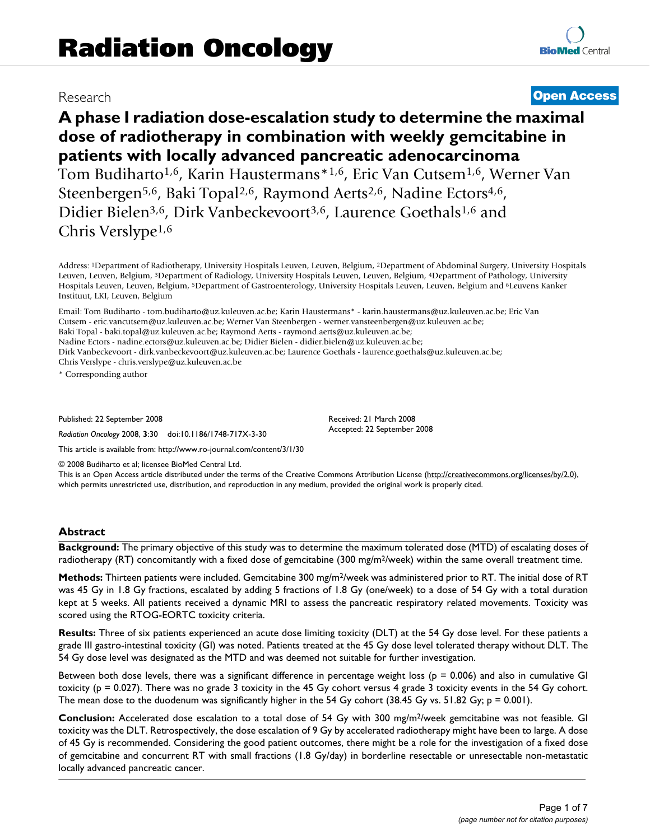## Research **[Open Access](http://www.biomedcentral.com/info/about/charter/)**

# **A phase I radiation dose-escalation study to determine the maximal dose of radiotherapy in combination with weekly gemcitabine in patients with locally advanced pancreatic adenocarcinoma** Tom Budiharto<sup>1,6</sup>, Karin Haustermans<sup>\*1,6</sup>, Eric Van Cutsem<sup>1,6</sup>, Werner Van

Steenbergen<sup>5,6</sup>, Baki Topal<sup>2,6</sup>, Raymond Aerts<sup>2,6</sup>, Nadine Ectors<sup>4,6</sup>, Didier Bielen<sup>3,6</sup>, Dirk Vanbeckevoort<sup>3,6</sup>, Laurence Goethals<sup>1,6</sup> and Chris Verslype1,6

Address: 1Department of Radiotherapy, University Hospitals Leuven, Leuven, Belgium, 2Department of Abdominal Surgery, University Hospitals Leuven, Leuven, Belgium, 3Department of Radiology, University Hospitals Leuven, Leuven, Belgium, 4Department of Pathology, University Hospitals Leuven, Leuven, Belgium, 5Department of Gastroenterology, University Hospitals Leuven, Leuven, Belgium and 6Leuvens Kanker Instituut, LKI, Leuven, Belgium

Email: Tom Budiharto - tom.budiharto@uz.kuleuven.ac.be; Karin Haustermans\* - karin.haustermans@uz.kuleuven.ac.be; Eric Van Cutsem - eric.vancutsem@uz.kuleuven.ac.be; Werner Van Steenbergen - werner.vansteenbergen@uz.kuleuven.ac.be; Baki Topal - baki.topal@uz.kuleuven.ac.be; Raymond Aerts - raymond.aerts@uz.kuleuven.ac.be; Nadine Ectors - nadine.ectors@uz.kuleuven.ac.be; Didier Bielen - didier.bielen@uz.kuleuven.ac.be; Dirk Vanbeckevoort - dirk.vanbeckevoort@uz.kuleuven.ac.be; Laurence Goethals - laurence.goethals@uz.kuleuven.ac.be; Chris Verslype - chris.verslype@uz.kuleuven.ac.be

\* Corresponding author

Published: 22 September 2008

*Radiation Oncology* 2008, **3**:30 doi:10.1186/1748-717X-3-30

[This article is available from: http://www.ro-journal.com/content/3/1/30](http://www.ro-journal.com/content/3/1/30)

© 2008 Budiharto et al; licensee BioMed Central Ltd.

This is an Open Access article distributed under the terms of the Creative Commons Attribution License [\(http://creativecommons.org/licenses/by/2.0\)](http://creativecommons.org/licenses/by/2.0), which permits unrestricted use, distribution, and reproduction in any medium, provided the original work is properly cited.

Received: 21 March 2008 Accepted: 22 September 2008

#### **Abstract**

**Background:** The primary objective of this study was to determine the maximum tolerated dose (MTD) of escalating doses of radiotherapy (RT) concomitantly with a fixed dose of gemcitabine (300 mg/m<sup>2</sup>/week) within the same overall treatment time.

**Methods:** Thirteen patients were included. Gemcitabine 300 mg/m2/week was administered prior to RT. The initial dose of RT was 45 Gy in 1.8 Gy fractions, escalated by adding 5 fractions of 1.8 Gy (one/week) to a dose of 54 Gy with a total duration kept at 5 weeks. All patients received a dynamic MRI to assess the pancreatic respiratory related movements. Toxicity was scored using the RTOG-EORTC toxicity criteria.

**Results:** Three of six patients experienced an acute dose limiting toxicity (DLT) at the 54 Gy dose level. For these patients a grade III gastro-intestinal toxicity (GI) was noted. Patients treated at the 45 Gy dose level tolerated therapy without DLT. The 54 Gy dose level was designated as the MTD and was deemed not suitable for further investigation.

Between both dose levels, there was a significant difference in percentage weight loss ( $p = 0.006$ ) and also in cumulative GI toxicity (p = 0.027). There was no grade 3 toxicity in the 45 Gy cohort versus 4 grade 3 toxicity events in the 54 Gy cohort. The mean dose to the duodenum was significantly higher in the 54 Gy cohort (38.45 Gy vs. 51.82 Gy;  $p = 0.001$ ).

**Conclusion:** Accelerated dose escalation to a total dose of 54 Gy with 300 mg/m2/week gemcitabine was not feasible. GI toxicity was the DLT. Retrospectively, the dose escalation of 9 Gy by accelerated radiotherapy might have been to large. A dose of 45 Gy is recommended. Considering the good patient outcomes, there might be a role for the investigation of a fixed dose of gemcitabine and concurrent RT with small fractions (1.8 Gy/day) in borderline resectable or unresectable non-metastatic locally advanced pancreatic cancer.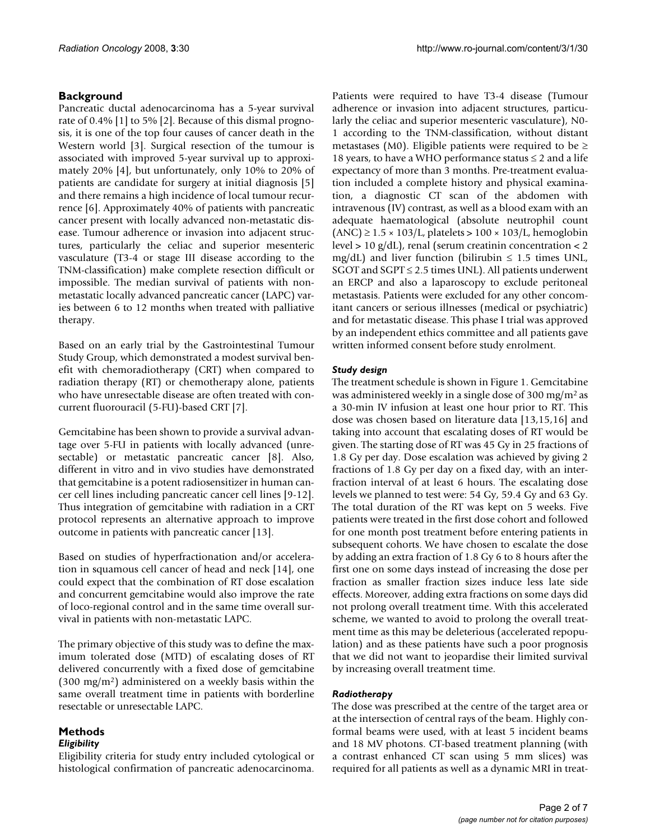### **Background**

Pancreatic ductal adenocarcinoma has a 5-year survival rate of 0.4% [1] to 5% [2]. Because of this dismal prognosis, it is one of the top four causes of cancer death in the Western world [3]. Surgical resection of the tumour is associated with improved 5-year survival up to approximately 20% [4], but unfortunately, only 10% to 20% of patients are candidate for surgery at initial diagnosis [5] and there remains a high incidence of local tumour recurrence [6]. Approximately 40% of patients with pancreatic cancer present with locally advanced non-metastatic disease. Tumour adherence or invasion into adjacent structures, particularly the celiac and superior mesenteric vasculature (T3-4 or stage III disease according to the TNM-classification) make complete resection difficult or impossible. The median survival of patients with nonmetastatic locally advanced pancreatic cancer (LAPC) varies between 6 to 12 months when treated with palliative therapy.

Based on an early trial by the Gastrointestinal Tumour Study Group, which demonstrated a modest survival benefit with chemoradiotherapy (CRT) when compared to radiation therapy (RT) or chemotherapy alone, patients who have unresectable disease are often treated with concurrent fluorouracil (5-FU)-based CRT [7].

Gemcitabine has been shown to provide a survival advantage over 5-FU in patients with locally advanced (unresectable) or metastatic pancreatic cancer [8]. Also, different in vitro and in vivo studies have demonstrated that gemcitabine is a potent radiosensitizer in human cancer cell lines including pancreatic cancer cell lines [9-12]. Thus integration of gemcitabine with radiation in a CRT protocol represents an alternative approach to improve outcome in patients with pancreatic cancer [13].

Based on studies of hyperfractionation and/or acceleration in squamous cell cancer of head and neck [14], one could expect that the combination of RT dose escalation and concurrent gemcitabine would also improve the rate of loco-regional control and in the same time overall survival in patients with non-metastatic LAPC.

The primary objective of this study was to define the maximum tolerated dose (MTD) of escalating doses of RT delivered concurrently with a fixed dose of gemcitabine  $(300 \text{ mg/m}^2)$  administered on a weekly basis within the same overall treatment time in patients with borderline resectable or unresectable LAPC.

#### **Methods** *Eligibility*

Eligibility criteria for study entry included cytological or histological confirmation of pancreatic adenocarcinoma.

Patients were required to have T3-4 disease (Tumour adherence or invasion into adjacent structures, particularly the celiac and superior mesenteric vasculature), N0- 1 according to the TNM-classification, without distant metastases (M0). Eligible patients were required to be  $\geq$ 18 years, to have a WHO performance status  $\leq 2$  and a life expectancy of more than 3 months. Pre-treatment evaluation included a complete history and physical examination, a diagnostic CT scan of the abdomen with intravenous (IV) contrast, as well as a blood exam with an adequate haematological (absolute neutrophil count  $(ANC) \ge 1.5 \times 103/L$ , platelets > 100 × 103/L, hemoglobin level  $> 10$  g/dL), renal (serum creatinin concentration  $< 2$ mg/dL) and liver function (bilirubin  $\leq 1.5$  times UNL, SGOT and  $S$ GPT  $\leq$  2.5 times UNL). All patients underwent an ERCP and also a laparoscopy to exclude peritoneal metastasis. Patients were excluded for any other concomitant cancers or serious illnesses (medical or psychiatric) and for metastatic disease. This phase I trial was approved by an independent ethics committee and all patients gave written informed consent before study enrolment.

#### *Study design*

The treatment schedule is shown in Figure 1. Gemcitabine was administered weekly in a single dose of 300 mg/m2 as a 30-min IV infusion at least one hour prior to RT. This dose was chosen based on literature data [13,15,16] and taking into account that escalating doses of RT would be given. The starting dose of RT was 45 Gy in 25 fractions of 1.8 Gy per day. Dose escalation was achieved by giving 2 fractions of 1.8 Gy per day on a fixed day, with an interfraction interval of at least 6 hours. The escalating dose levels we planned to test were: 54 Gy, 59.4 Gy and 63 Gy. The total duration of the RT was kept on 5 weeks. Five patients were treated in the first dose cohort and followed for one month post treatment before entering patients in subsequent cohorts. We have chosen to escalate the dose by adding an extra fraction of 1.8 Gy 6 to 8 hours after the first one on some days instead of increasing the dose per fraction as smaller fraction sizes induce less late side effects. Moreover, adding extra fractions on some days did not prolong overall treatment time. With this accelerated scheme, we wanted to avoid to prolong the overall treatment time as this may be deleterious (accelerated repopulation) and as these patients have such a poor prognosis that we did not want to jeopardise their limited survival by increasing overall treatment time.

#### *Radiotherapy*

The dose was prescribed at the centre of the target area or at the intersection of central rays of the beam. Highly conformal beams were used, with at least 5 incident beams and 18 MV photons. CT-based treatment planning (with a contrast enhanced CT scan using 5 mm slices) was required for all patients as well as a dynamic MRI in treat-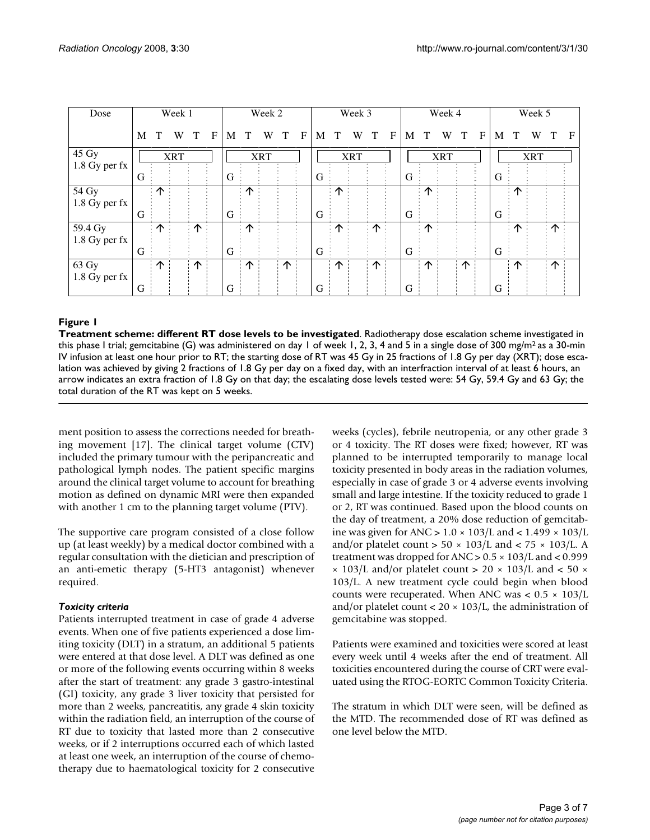| Dose                     | Week 1                                           | Week 2                | Week 3                           | Week 4                        | Week 5              |
|--------------------------|--------------------------------------------------|-----------------------|----------------------------------|-------------------------------|---------------------|
|                          | T W T<br>$\mathbf{F}$<br>M                       | M T W T F             | M T W T<br>$\mathbf{F}$          | W T<br>T<br>$\mathbf{F}$<br>M | W<br>T<br>M<br>T F  |
| 45 Gy<br>1.8 Gy per fx   | <b>XRT</b><br>G                                  | <b>XRT</b><br>G       | <b>XRT</b><br>G                  | <b>XRT</b><br>G               | <b>XRT</b><br>G     |
| 54 Gy<br>1.8 Gy per fx   | G                                                | G                     | G                                | G                             | G                   |
| 59.4 Gy<br>1.8 Gy per fx | :  ለ<br>◠<br>G                                   | ፡ ^<br>G              | : ለ<br>$\triangledown$<br>G      | ÷<br>́<br>G                   | ∧<br>:  ለ<br>G      |
| 63 Gy<br>1.8 Gy per fx   | $\uparrow$ $\uparrow$<br>$\cdot$ $\uparrow$<br>G | ! ተ !<br>$+$ $+$<br>G | $\uparrow$ $\uparrow$<br>个:<br>G | $\uparrow$<br>$\uparrow$<br>G | $\Lambda$<br>↑<br>G |

#### Figure 1

**Treatment scheme: different RT dose levels to be investigated**. Radiotherapy dose escalation scheme investigated in this phase I trial; gemcitabine (G) was administered on day 1 of week 1, 2, 3, 4 and 5 in a single dose of 300 mg/m<sup>2</sup> as a 30-min IV infusion at least one hour prior to RT; the starting dose of RT was 45 Gy in 25 fractions of 1.8 Gy per day (XRT); dose escalation was achieved by giving 2 fractions of 1.8 Gy per day on a fixed day, with an interfraction interval of at least 6 hours, an arrow indicates an extra fraction of 1.8 Gy on that day; the escalating dose levels tested were: 54 Gy, 59.4 Gy and 63 Gy; the total duration of the RT was kept on 5 weeks.

ment position to assess the corrections needed for breathing movement [17]. The clinical target volume (CTV) included the primary tumour with the peripancreatic and pathological lymph nodes. The patient specific margins around the clinical target volume to account for breathing motion as defined on dynamic MRI were then expanded with another 1 cm to the planning target volume (PTV).

The supportive care program consisted of a close follow up (at least weekly) by a medical doctor combined with a regular consultation with the dietician and prescription of an anti-emetic therapy (5-HT3 antagonist) whenever required.

#### *Toxicity criteria*

Patients interrupted treatment in case of grade 4 adverse events. When one of five patients experienced a dose limiting toxicity (DLT) in a stratum, an additional 5 patients were entered at that dose level. A DLT was defined as one or more of the following events occurring within 8 weeks after the start of treatment: any grade 3 gastro-intestinal (GI) toxicity, any grade 3 liver toxicity that persisted for more than 2 weeks, pancreatitis, any grade 4 skin toxicity within the radiation field, an interruption of the course of RT due to toxicity that lasted more than 2 consecutive weeks, or if 2 interruptions occurred each of which lasted at least one week, an interruption of the course of chemotherapy due to haematological toxicity for 2 consecutive weeks (cycles), febrile neutropenia, or any other grade 3 or 4 toxicity. The RT doses were fixed; however, RT was planned to be interrupted temporarily to manage local toxicity presented in body areas in the radiation volumes, especially in case of grade 3 or 4 adverse events involving small and large intestine. If the toxicity reduced to grade 1 or 2, RT was continued. Based upon the blood counts on the day of treatment, a 20% dose reduction of gemcitabine was given for ANC  $> 1.0 \times 103/L$  and  $< 1.499 \times 103/L$ and/or platelet count  $> 50 \times 103/L$  and  $< 75 \times 103/L$ . A treatment was dropped for ANC  $> 0.5 \times 103$ /L and  $< 0.999$  $\times$  103/L and/or platelet count > 20  $\times$  103/L and < 50  $\times$ 103/L. A new treatment cycle could begin when blood counts were recuperated. When ANC was  $< 0.5 \times 103/L$ and/or platelet count <  $20 \times 103/L$ , the administration of gemcitabine was stopped.

Patients were examined and toxicities were scored at least every week until 4 weeks after the end of treatment. All toxicities encountered during the course of CRT were evaluated using the RTOG-EORTC Common Toxicity Criteria.

The stratum in which DLT were seen, will be defined as the MTD. The recommended dose of RT was defined as one level below the MTD.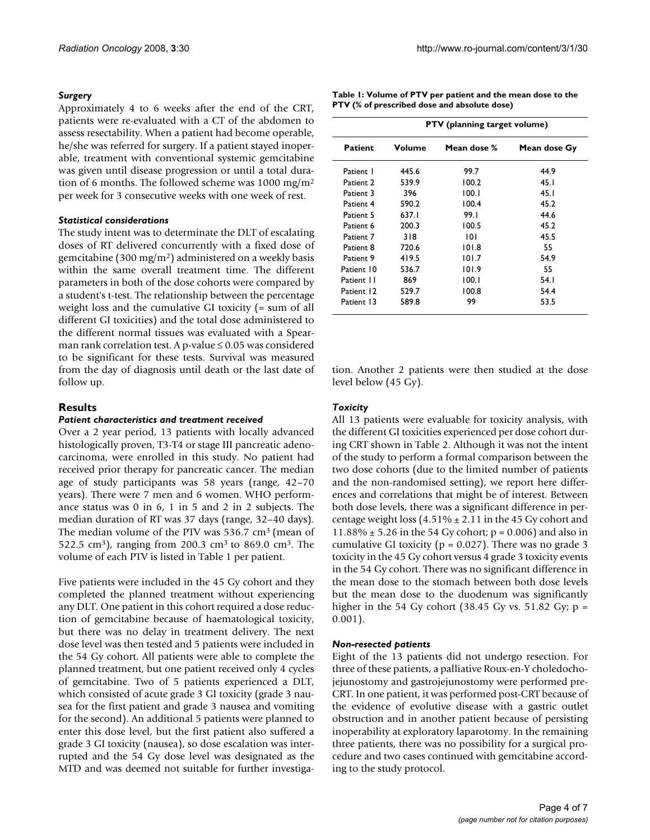#### *Radiation Oncology* 2008, **3**:30 http://www.ro-journal.com/content/3/1/30

#### *Surgery*

Approximately 4 to 6 weeks after the end of the CRT, patients were re-evaluated with a CT of the abdomen to assess resectability. When a patient had become operable, he/she was referred for surgery. If a patient stayed inoperable, treatment with conventional systemic gemcitabine was given until disease progression or until a total duration of 6 months. The followed scheme was 1000 mg/m2 per week for 3 consecutive weeks with one week of rest.

#### *Statistical considerations*

The study intent was to determinate the DLT of escalating doses of RT delivered concurrently with a fixed dose of gemcitabine (300 mg/m2) administered on a weekly basis within the same overall treatment time. The different parameters in both of the dose cohorts were compared by a student's t-test. The relationship between the percentage weight loss and the cumulative GI toxicity (= sum of all different GI toxicities) and the total dose administered to the different normal tissues was evaluated with a Spearman rank correlation test. A p-value  $\leq 0.05$  was considered to be significant for these tests. Survival was measured from the day of diagnosis until death or the last date of follow up.

#### **Results**

#### *Patient characteristics and treatment received*

Over a 2 year period, 13 patients with locally advanced histologically proven, T3-T4 or stage III pancreatic adenocarcinoma, were enrolled in this study. No patient had received prior therapy for pancreatic cancer. The median age of study participants was 58 years (range, 42–70 years). There were 7 men and 6 women. WHO performance status was 0 in 6, 1 in 5 and 2 in 2 subjects. The median duration of RT was 37 days (range, 32–40 days). The median volume of the PTV was 536.7 cm<sup>3</sup> (mean of 522.5 cm3), ranging from 200.3 cm3 to 869.0 cm3. The volume of each PTV is listed in Table 1 per patient.

Five patients were included in the 45 Gy cohort and they completed the planned treatment without experiencing any DLT. One patient in this cohort required a dose reduction of gemcitabine because of haematological toxicity, but there was no delay in treatment delivery. The next dose level was then tested and 5 patients were included in the 54 Gy cohort. All patients were able to complete the planned treatment, but one patient received only 4 cycles of gemcitabine. Two of 5 patients experienced a DLT, which consisted of acute grade 3 GI toxicity (grade 3 nausea for the first patient and grade 3 nausea and vomiting for the second). An additional 5 patients were planned to enter this dose level, but the first patient also suffered a grade 3 GI toxicity (nausea), so dose escalation was interrupted and the 54 Gy dose level was designated as the MTD and was deemed not suitable for further investiga-

| Table 1: Volume of PTV per patient and the mean dose to the |  |
|-------------------------------------------------------------|--|
| <b>PTV</b> (% of prescribed dose and absolute dose)         |  |

|                      | <b>PTV</b> (planning target volume) |             |              |  |  |  |
|----------------------|-------------------------------------|-------------|--------------|--|--|--|
| Patient              | Volume                              | Mean dose % | Mean dose Gy |  |  |  |
| Patient 1            | 445.6                               | 99.7        | 44.9         |  |  |  |
| Patient <sub>2</sub> | 539.9                               | 100.2       | 45.1         |  |  |  |
| Patient 3            | 396                                 | 100.1       | 45.1         |  |  |  |
| Patient 4            | 590.2                               | 100.4       | 45.2         |  |  |  |
| Patient 5            | 637.I                               | 99. I       | 44.6         |  |  |  |
| Patient 6            | 200.3                               | 100.5       | 45.2         |  |  |  |
| Patient 7            | 318                                 | 101         | 45.5         |  |  |  |
| Patient 8            | 720.6                               | 101.8       | 55           |  |  |  |
| Patient 9            | 419.5                               | 101.7       | 54.9         |  |  |  |
| Patient 10           | 536.7                               | 101.9       | 55           |  |  |  |
| Patient 11           | 869                                 | 100.1       | 54.1         |  |  |  |
| Patient 12           | 529.7                               | 100.8       | 54.4         |  |  |  |
| Patient 13           | 589.8                               | 99          | 53.5         |  |  |  |

tion. Another 2 patients were then studied at the dose level below (45 Gy).

#### *Toxicity*

All 13 patients were evaluable for toxicity analysis, with the different GI toxicities experienced per dose cohort during CRT shown in Table 2. Although it was not the intent of the study to perform a formal comparison between the two dose cohorts (due to the limited number of patients and the non-randomised setting), we report here differences and correlations that might be of interest. Between both dose levels, there was a significant difference in percentage weight loss  $(4.51\% \pm 2.11)$  in the 45 Gy cohort and 11.88%  $\pm$  5.26 in the 54 Gy cohort; p = 0.006) and also in cumulative GI toxicity ( $p = 0.027$ ). There was no grade 3 toxicity in the 45 Gy cohort versus 4 grade 3 toxicity events in the 54 Gy cohort. There was no significant difference in the mean dose to the stomach between both dose levels but the mean dose to the duodenum was significantly higher in the 54 Gy cohort (38.45 Gy vs. 51.82 Gy;  $p =$ 0.001).

#### *Non-resected patients*

Eight of the 13 patients did not undergo resection. For three of these patients, a palliative Roux-en-Y choledochojejunostomy and gastrojejunostomy were performed pre-CRT. In one patient, it was performed post-CRT because of the evidence of evolutive disease with a gastric outlet obstruction and in another patient because of persisting inoperability at exploratory laparotomy. In the remaining three patients, there was no possibility for a surgical procedure and two cases continued with gemcitabine according to the study protocol.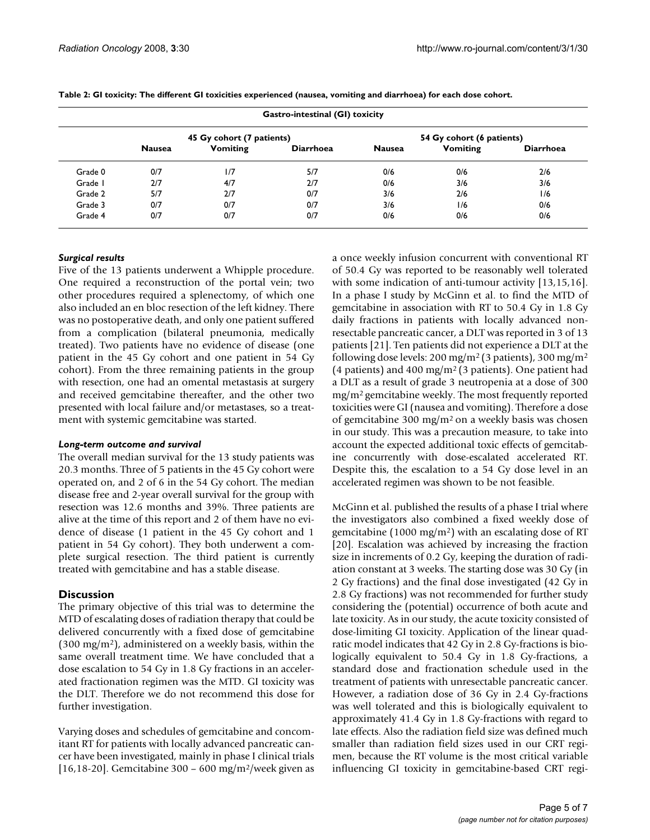| <b>Gastro-intestinal (GI) toxicity</b> |                           |                 |                  |                           |          |                  |  |  |
|----------------------------------------|---------------------------|-----------------|------------------|---------------------------|----------|------------------|--|--|
|                                        | 45 Gy cohort (7 patients) |                 |                  | 54 Gy cohort (6 patients) |          |                  |  |  |
|                                        | <b>Nausea</b>             | <b>Vomiting</b> | <b>Diarrhoea</b> | <b>Nausea</b>             | Vomiting | <b>Diarrhoea</b> |  |  |
| Grade 0                                | 0/7                       | 1/7             | 5/7              | 0/6                       | 0/6      | 2/6              |  |  |
| Grade I                                | 2/7                       | 4/7             | 2/7              | 0/6                       | 3/6      | 3/6              |  |  |
| Grade 2                                | 5/7                       | 2/7             | 0/7              | 3/6                       | 2/6      | 1/6              |  |  |
| Grade 3                                | 0/7                       | 0/7             | 0/7              | 3/6                       | 1/6      | 0/6              |  |  |
| Grade 4                                | 0/7                       | 0/7             | 0/7              | 0/6                       | 0/6      | 0/6              |  |  |

**Table 2: GI toxicity: The different GI toxicities experienced (nausea, vomiting and diarrhoea) for each dose cohort.**

#### *Surgical results*

Five of the 13 patients underwent a Whipple procedure. One required a reconstruction of the portal vein; two other procedures required a splenectomy, of which one also included an en bloc resection of the left kidney. There was no postoperative death, and only one patient suffered from a complication (bilateral pneumonia, medically treated). Two patients have no evidence of disease (one patient in the 45 Gy cohort and one patient in 54 Gy cohort). From the three remaining patients in the group with resection, one had an omental metastasis at surgery and received gemcitabine thereafter, and the other two presented with local failure and/or metastases, so a treatment with systemic gemcitabine was started.

#### *Long-term outcome and survival*

The overall median survival for the 13 study patients was 20.3 months. Three of 5 patients in the 45 Gy cohort were operated on, and 2 of 6 in the 54 Gy cohort. The median disease free and 2-year overall survival for the group with resection was 12.6 months and 39%. Three patients are alive at the time of this report and 2 of them have no evidence of disease (1 patient in the 45 Gy cohort and 1 patient in 54 Gy cohort). They both underwent a complete surgical resection. The third patient is currently treated with gemcitabine and has a stable disease.

#### **Discussion**

The primary objective of this trial was to determine the MTD of escalating doses of radiation therapy that could be delivered concurrently with a fixed dose of gemcitabine (300 mg/m2), administered on a weekly basis, within the same overall treatment time. We have concluded that a dose escalation to 54 Gy in 1.8 Gy fractions in an accelerated fractionation regimen was the MTD. GI toxicity was the DLT. Therefore we do not recommend this dose for further investigation.

Varying doses and schedules of gemcitabine and concomitant RT for patients with locally advanced pancreatic cancer have been investigated, mainly in phase I clinical trials [16,18-20]. Gemcitabine 300 – 600 mg/m<sup>2</sup>/week given as a once weekly infusion concurrent with conventional RT of 50.4 Gy was reported to be reasonably well tolerated with some indication of anti-tumour activity [13,15,16]. In a phase I study by McGinn et al. to find the MTD of gemcitabine in association with RT to 50.4 Gy in 1.8 Gy daily fractions in patients with locally advanced nonresectable pancreatic cancer, a DLT was reported in 3 of 13 patients [21]. Ten patients did not experience a DLT at the following dose levels: 200 mg/m<sup>2</sup> (3 patients), 300 mg/m<sup>2</sup> (4 patients) and 400 mg/m<sup>2</sup> (3 patients). One patient had a DLT as a result of grade 3 neutropenia at a dose of 300 mg/m2 gemcitabine weekly. The most frequently reported toxicities were GI (nausea and vomiting). Therefore a dose of gemcitabine 300 mg/m2 on a weekly basis was chosen in our study. This was a precaution measure, to take into account the expected additional toxic effects of gemcitabine concurrently with dose-escalated accelerated RT. Despite this, the escalation to a 54 Gy dose level in an accelerated regimen was shown to be not feasible.

McGinn et al. published the results of a phase I trial where the investigators also combined a fixed weekly dose of gemcitabine (1000 mg/m<sup>2</sup>) with an escalating dose of RT [20]. Escalation was achieved by increasing the fraction size in increments of 0.2 Gy, keeping the duration of radiation constant at 3 weeks. The starting dose was 30 Gy (in 2 Gy fractions) and the final dose investigated (42 Gy in 2.8 Gy fractions) was not recommended for further study considering the (potential) occurrence of both acute and late toxicity. As in our study, the acute toxicity consisted of dose-limiting GI toxicity. Application of the linear quadratic model indicates that 42 Gy in 2.8 Gy-fractions is biologically equivalent to 50.4 Gy in 1.8 Gy-fractions, a standard dose and fractionation schedule used in the treatment of patients with unresectable pancreatic cancer. However, a radiation dose of 36 Gy in 2.4 Gy-fractions was well tolerated and this is biologically equivalent to approximately 41.4 Gy in 1.8 Gy-fractions with regard to late effects. Also the radiation field size was defined much smaller than radiation field sizes used in our CRT regimen, because the RT volume is the most critical variable influencing GI toxicity in gemcitabine-based CRT regi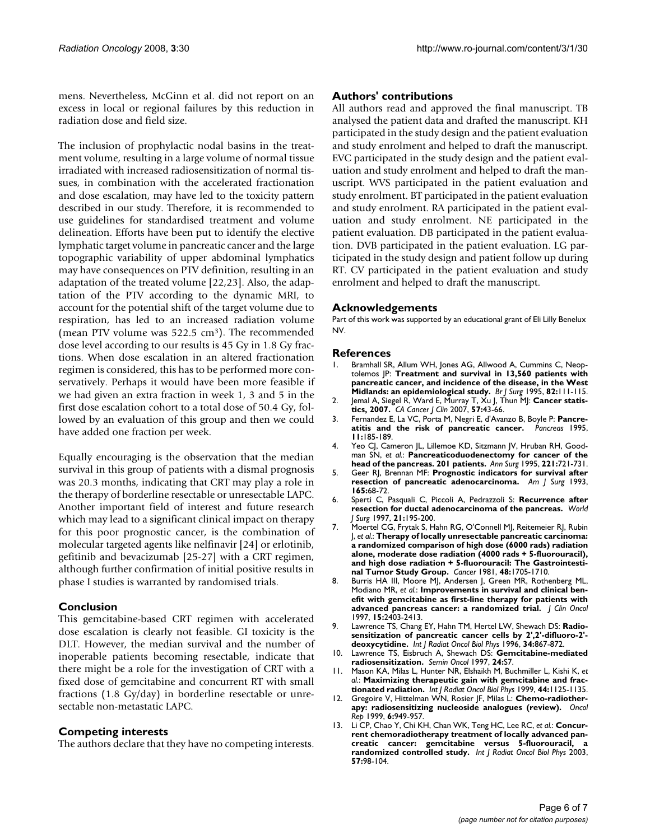mens. Nevertheless, McGinn et al. did not report on an excess in local or regional failures by this reduction in radiation dose and field size.

The inclusion of prophylactic nodal basins in the treatment volume, resulting in a large volume of normal tissue irradiated with increased radiosensitization of normal tissues, in combination with the accelerated fractionation and dose escalation, may have led to the toxicity pattern described in our study. Therefore, it is recommended to use guidelines for standardised treatment and volume delineation. Efforts have been put to identify the elective lymphatic target volume in pancreatic cancer and the large topographic variability of upper abdominal lymphatics may have consequences on PTV definition, resulting in an adaptation of the treated volume [22,23]. Also, the adaptation of the PTV according to the dynamic MRI, to account for the potential shift of the target volume due to respiration, has led to an increased radiation volume (mean PTV volume was 522.5 cm3). The recommended dose level according to our results is 45 Gy in 1.8 Gy fractions. When dose escalation in an altered fractionation regimen is considered, this has to be performed more conservatively. Perhaps it would have been more feasible if we had given an extra fraction in week 1, 3 and 5 in the first dose escalation cohort to a total dose of 50.4 Gy, followed by an evaluation of this group and then we could have added one fraction per week.

Equally encouraging is the observation that the median survival in this group of patients with a dismal prognosis was 20.3 months, indicating that CRT may play a role in the therapy of borderline resectable or unresectable LAPC. Another important field of interest and future research which may lead to a significant clinical impact on therapy for this poor prognostic cancer, is the combination of molecular targeted agents like nelfinavir [24] or erlotinib, gefitinib and bevacizumab [25-27] with a CRT regimen, although further confirmation of initial positive results in phase I studies is warranted by randomised trials.

#### **Conclusion**

This gemcitabine-based CRT regimen with accelerated dose escalation is clearly not feasible. GI toxicity is the DLT. However, the median survival and the number of inoperable patients becoming resectable, indicate that there might be a role for the investigation of CRT with a fixed dose of gemcitabine and concurrent RT with small fractions (1.8 Gy/day) in borderline resectable or unresectable non-metastatic LAPC.

#### **Competing interests**

The authors declare that they have no competing interests.

#### **Authors' contributions**

All authors read and approved the final manuscript. TB analysed the patient data and drafted the manuscript. KH participated in the study design and the patient evaluation and study enrolment and helped to draft the manuscript. EVC participated in the study design and the patient evaluation and study enrolment and helped to draft the manuscript. WVS participated in the patient evaluation and study enrolment. BT participated in the patient evaluation and study enrolment. RA participated in the patient evaluation and study enrolment. NE participated in the patient evaluation. DB participated in the patient evaluation. DVB participated in the patient evaluation. LG participated in the study design and patient follow up during RT. CV participated in the patient evaluation and study enrolment and helped to draft the manuscript.

#### **Acknowledgements**

Part of this work was supported by an educational grant of Eli Lilly Benelux NV.

#### **References**

- 1. Bramhall SR, Allum WH, Jones AG, Allwood A, Cummins C, Neoptolemos JP: **[Treatment and survival in 13,560 patients with](http://www.ncbi.nlm.nih.gov/entrez/query.fcgi?cmd=Retrieve&db=PubMed&dopt=Abstract&list_uids=7881926) [pancreatic cancer, and incidence of the disease, in the West](http://www.ncbi.nlm.nih.gov/entrez/query.fcgi?cmd=Retrieve&db=PubMed&dopt=Abstract&list_uids=7881926) [Midlands: an epidemiological study.](http://www.ncbi.nlm.nih.gov/entrez/query.fcgi?cmd=Retrieve&db=PubMed&dopt=Abstract&list_uids=7881926)** *Br J Surg* 1995, **82:**111-115.
- 2. Jemal A, Siegel R, Ward E, Murray T, Xu J, Thun MJ: **[Cancer statis](http://www.ncbi.nlm.nih.gov/entrez/query.fcgi?cmd=Retrieve&db=PubMed&dopt=Abstract&list_uids=17237035)[tics, 2007.](http://www.ncbi.nlm.nih.gov/entrez/query.fcgi?cmd=Retrieve&db=PubMed&dopt=Abstract&list_uids=17237035)** *CA Cancer J Clin* 2007, **57:**43-66.
- 3. Fernandez E, La VC, Porta M, Negri E, d'Avanzo B, Boyle P: **[Pancre](http://www.ncbi.nlm.nih.gov/entrez/query.fcgi?cmd=Retrieve&db=PubMed&dopt=Abstract&list_uids=7479677)[atitis and the risk of pancreatic cancer.](http://www.ncbi.nlm.nih.gov/entrez/query.fcgi?cmd=Retrieve&db=PubMed&dopt=Abstract&list_uids=7479677)** *Pancreas* 1995, **11:**185-189.
- 4. Yeo CJ, Cameron JL, Lillemoe KD, Sitzmann JV, Hruban RH, Goodman SN, *et al.*: **[Pancreaticoduodenectomy for cancer of the](http://www.ncbi.nlm.nih.gov/entrez/query.fcgi?cmd=Retrieve&db=PubMed&dopt=Abstract&list_uids=7794076) [head of the pancreas. 201 patients.](http://www.ncbi.nlm.nih.gov/entrez/query.fcgi?cmd=Retrieve&db=PubMed&dopt=Abstract&list_uids=7794076)** *Ann Surg* 1995, **221:**721-731.
- 5. Geer RJ, Brennan MF: **[Prognostic indicators for survival after](http://www.ncbi.nlm.nih.gov/entrez/query.fcgi?cmd=Retrieve&db=PubMed&dopt=Abstract&list_uids=8380315) [resection of pancreatic adenocarcinoma.](http://www.ncbi.nlm.nih.gov/entrez/query.fcgi?cmd=Retrieve&db=PubMed&dopt=Abstract&list_uids=8380315)** *Am J Surg* 1993, **165:**68-72.
- 6. Sperti C, Pasquali C, Piccoli A, Pedrazzoli S: **[Recurrence after](http://www.ncbi.nlm.nih.gov/entrez/query.fcgi?cmd=Retrieve&db=PubMed&dopt=Abstract&list_uids=8995078) [resection for ductal adenocarcinoma of the pancreas.](http://www.ncbi.nlm.nih.gov/entrez/query.fcgi?cmd=Retrieve&db=PubMed&dopt=Abstract&list_uids=8995078)** *World J Surg* 1997, **21:**195-200.
- 7. Moertel CG, Frytak S, Hahn RG, O'Connell MJ, Reitemeier RJ, Rubin J, *et al.*: **[Therapy of locally unresectable pancreatic carcinoma:](http://www.ncbi.nlm.nih.gov/entrez/query.fcgi?cmd=Retrieve&db=PubMed&dopt=Abstract&list_uids=7284971) a randomized comparison of high dose (6000 rads) radiation alone, moderate dose radiation (4000 rads + 5-fluorouracil), [and high dose radiation + 5-fluorouracil: The Gastrointesti](http://www.ncbi.nlm.nih.gov/entrez/query.fcgi?cmd=Retrieve&db=PubMed&dopt=Abstract&list_uids=7284971)[nal Tumor Study Group.](http://www.ncbi.nlm.nih.gov/entrez/query.fcgi?cmd=Retrieve&db=PubMed&dopt=Abstract&list_uids=7284971)** *Cancer* 1981, **48:**1705-1710.
- 8. Burris HA III, Moore MJ, Andersen J, Green MR, Rothenberg ML, Modiano MR, *et al.*: **[Improvements in survival and clinical ben](http://www.ncbi.nlm.nih.gov/entrez/query.fcgi?cmd=Retrieve&db=PubMed&dopt=Abstract&list_uids=9196156)[efit with gemcitabine as first-line therapy for patients with](http://www.ncbi.nlm.nih.gov/entrez/query.fcgi?cmd=Retrieve&db=PubMed&dopt=Abstract&list_uids=9196156) [advanced pancreas cancer: a randomized trial.](http://www.ncbi.nlm.nih.gov/entrez/query.fcgi?cmd=Retrieve&db=PubMed&dopt=Abstract&list_uids=9196156)** *J Clin Oncol* 1997, **15:**2403-2413.
- 9. Lawrence TS, Chang EY, Hahn TM, Hertel LW, Shewach DS: **[Radio](http://www.ncbi.nlm.nih.gov/entrez/query.fcgi?cmd=Retrieve&db=PubMed&dopt=Abstract&list_uids=8598364)[sensitization of pancreatic cancer cells by 2',2'-difluoro-2'](http://www.ncbi.nlm.nih.gov/entrez/query.fcgi?cmd=Retrieve&db=PubMed&dopt=Abstract&list_uids=8598364) [deoxycytidine.](http://www.ncbi.nlm.nih.gov/entrez/query.fcgi?cmd=Retrieve&db=PubMed&dopt=Abstract&list_uids=8598364)** *Int J Radiat Oncol Biol Phys* 1996, **34:**867-872.
- 10. Lawrence TS, Eisbruch A, Shewach DS: **[Gemcitabine-mediated](http://www.ncbi.nlm.nih.gov/entrez/query.fcgi?cmd=Retrieve&db=PubMed&dopt=Abstract&list_uids=9194476) [radiosensitization.](http://www.ncbi.nlm.nih.gov/entrez/query.fcgi?cmd=Retrieve&db=PubMed&dopt=Abstract&list_uids=9194476)** *Semin Oncol* 1997, **24:**S7.
- 11. Mason KA, Milas L, Hunter NR, Elshaikh M, Buchmiller L, Kishi K, *et al.*: **[Maximizing therapeutic gain with gemcitabine and frac](http://www.ncbi.nlm.nih.gov/entrez/query.fcgi?cmd=Retrieve&db=PubMed&dopt=Abstract&list_uids=10421547)[tionated radiation.](http://www.ncbi.nlm.nih.gov/entrez/query.fcgi?cmd=Retrieve&db=PubMed&dopt=Abstract&list_uids=10421547)** *Int J Radiat Oncol Biol Phys* 1999, **44:**1125-1135.
- 12. Gregoire V, Hittelman WN, Rosier JF, Milas L: **[Chemo-radiother](http://www.ncbi.nlm.nih.gov/entrez/query.fcgi?cmd=Retrieve&db=PubMed&dopt=Abstract&list_uids=10425285)[apy: radiosensitizing nucleoside analogues \(review\).](http://www.ncbi.nlm.nih.gov/entrez/query.fcgi?cmd=Retrieve&db=PubMed&dopt=Abstract&list_uids=10425285)** *Oncol Rep* 1999, **6:**949-957.
- 13. Li CP, Chao Y, Chi KH, Chan WK, Teng HC, Lee RC, *et al.*: **[Concur](http://www.ncbi.nlm.nih.gov/entrez/query.fcgi?cmd=Retrieve&db=PubMed&dopt=Abstract&list_uids=12909221)rent chemoradiotherapy treatment of locally advanced pan[creatic cancer: gemcitabine versus 5-fluorouracil, a](http://www.ncbi.nlm.nih.gov/entrez/query.fcgi?cmd=Retrieve&db=PubMed&dopt=Abstract&list_uids=12909221) [randomized controlled study.](http://www.ncbi.nlm.nih.gov/entrez/query.fcgi?cmd=Retrieve&db=PubMed&dopt=Abstract&list_uids=12909221)** *Int J Radiat Oncol Biol Phys* 2003, **57:**98-104.